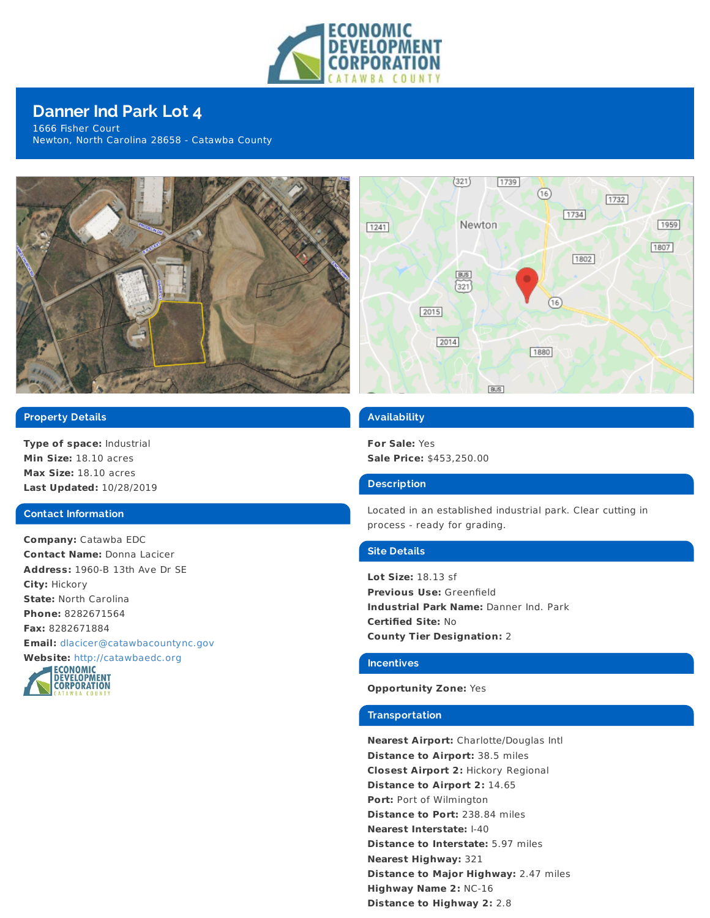

# **Danner Ind Park Lot 4**

1666 Fisher Court Newton, North Carolina 28658 - Catawba County



## **Property Details**

**Type of space:** Industrial **Min Size:** 18.10 acres **Max Size:** 18.10 acres **Last Updated:** 10/28/2019

#### **Contact Information**

**Company:** Catawba EDC **Contact Name:** Donna Lacicer **Address:** 1960-B 13th Ave Dr SE **City:** Hickory **State:** North Carolina **Phone:** 8282671564 **Fax:** 8282671884 **Email:** [dlacicer@catawbacountync.gov](mailto:dlacicer@catawbacountync.gov)





### **Availability**

**For Sale:** Yes **Sale Price:** \$453,250.00

#### **Description**

Located in an established industrial park. Clear cutting in process - ready for grading.

#### **Site Details**

**Lot Size:** 18.13 sf **Previous Use:** Greenfield **Industrial Park Name:** Danner Ind. Park **Certified Site:** No **County Tier Designation:** 2

#### **Incentives**

#### **Opportunity Zone:** Yes

#### **Transportation**

**Nearest Airport:** Charlotte/Douglas Intl **Distance to Airport:** 38.5 miles **Closest Airport 2:** Hickory Regional **Distance to Airport 2:** 14.65 **Port:** Port of Wilmington **Distance to Port:** 238.84 miles **Nearest Interstate:** I-40 **Distance to Interstate:** 5.97 miles **Nearest Highway:** 321 **Distance to Major Highway:** 2.47 miles **Highway Name 2:** NC-16 **Distance to Highway 2:** 2.8